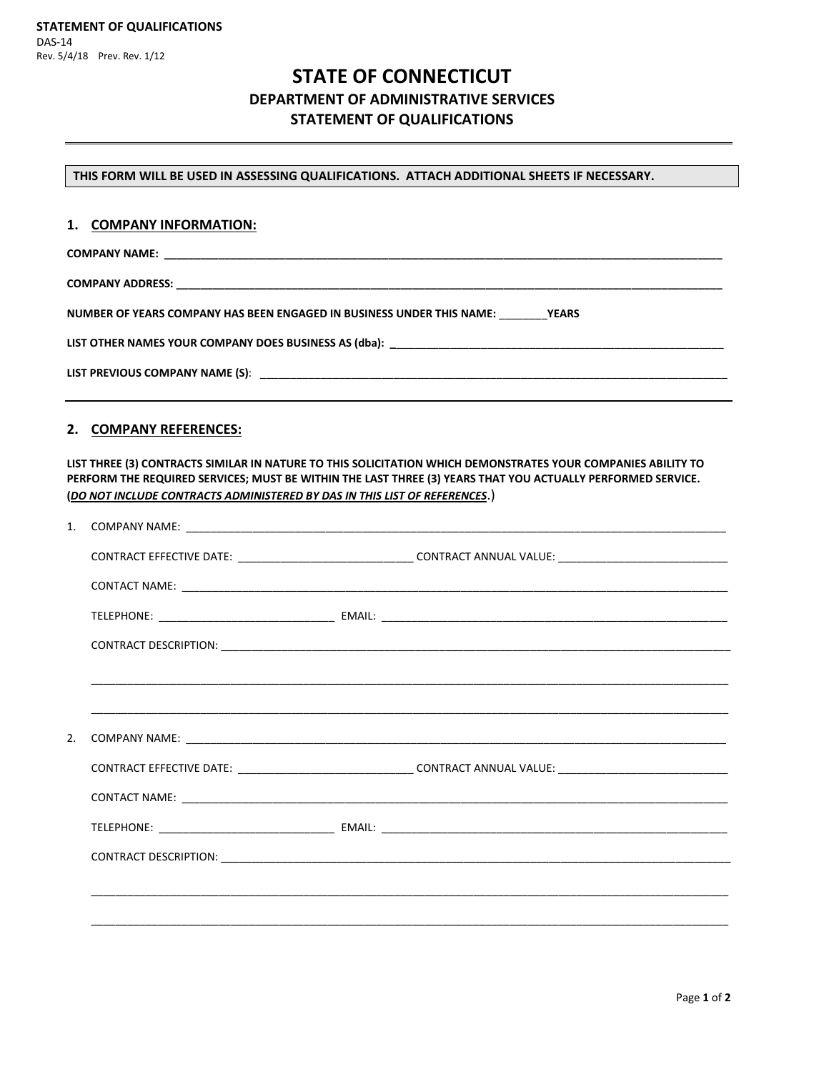# **STATE OF CONNECTICUT DEPARTMENT OF ADMINISTRATIVE SERVICES STATEMENT OF QUALIFICATIONS**

**THIS FORM WILL BE USED IN ASSESSING QUALIFICATIONS. ATTACH ADDITIONAL SHEETS IF NECESSARY.**

#### **1. COMPANY INFORMATION:**

**COMPANY NAME: \_\_\_\_\_\_\_\_\_\_\_\_\_\_\_\_\_\_\_\_\_\_\_\_\_\_\_\_\_\_\_\_\_\_\_\_\_\_\_\_\_\_\_\_\_\_\_\_\_\_\_\_\_\_\_\_\_\_\_\_\_\_\_\_\_\_\_\_\_\_\_\_\_\_\_\_\_\_\_\_\_\_\_\_\_\_\_\_\_\_\_\_**

**COMPANY ADDRESS: \_\_\_\_\_\_\_\_\_\_\_\_\_\_\_\_\_\_\_\_\_\_\_\_\_\_\_\_\_\_\_\_\_\_\_\_\_\_\_\_\_\_\_\_\_\_\_\_\_\_\_\_\_\_\_\_\_\_\_\_\_\_\_\_\_\_\_\_\_\_\_\_\_\_\_\_\_\_\_\_\_\_\_\_\_\_\_\_\_\_**

**NUMBER OF YEARS COMPANY HAS BEEN ENGAGED IN BUSINESS UNDER THIS NAME:** \_\_\_\_\_\_\_\_**YEARS**

**LIST OTHER NAMES YOUR COMPANY DOES BUSINESS AS (dba): \_**\_\_\_\_\_\_\_\_\_\_\_\_\_\_\_\_\_\_\_\_\_\_\_\_\_\_\_\_\_\_\_\_\_\_\_\_\_\_\_\_\_\_\_\_\_\_\_\_\_\_\_\_\_\_

**LIST PREVIOUS COMPANY NAME (S)**: \_\_\_\_\_\_\_\_\_\_\_\_\_\_\_\_\_\_\_\_\_\_\_\_\_\_\_\_\_\_\_\_\_\_\_\_\_\_\_\_\_\_\_\_\_\_\_\_\_\_\_\_\_\_\_\_\_\_\_\_\_\_\_\_\_\_\_\_\_\_\_\_\_\_\_\_\_

#### **2. COMPANY REFERENCES:**

**LIST THREE (3) CONTRACTS SIMILAR IN NATURE TO THIS SOLICITATION WHICH DEMONSTRATES YOUR COMPANIES ABILITY TO PERFORM THE REQUIRED SERVICES; MUST BE WITHIN THE LAST THREE (3) YEARS THAT YOU ACTUALLY PERFORMED SERVICE. (***DO NOT INCLUDE CONTRACTS ADMINISTERED BY DAS IN THIS LIST OF REFERENCES*.)

| 1. |  |                                                                                                                |  |
|----|--|----------------------------------------------------------------------------------------------------------------|--|
|    |  | CONTRACT EFFECTIVE DATE: ___________________________________CONTRACT ANNUAL VALUE: ___________________________ |  |
|    |  |                                                                                                                |  |
|    |  |                                                                                                                |  |
|    |  |                                                                                                                |  |
|    |  |                                                                                                                |  |
|    |  |                                                                                                                |  |
| 2. |  |                                                                                                                |  |
|    |  | CONTRACT EFFECTIVE DATE: _________________________________CONTRACT ANNUAL VALUE: _____________________________ |  |
|    |  |                                                                                                                |  |
|    |  |                                                                                                                |  |
|    |  |                                                                                                                |  |
|    |  |                                                                                                                |  |
|    |  |                                                                                                                |  |